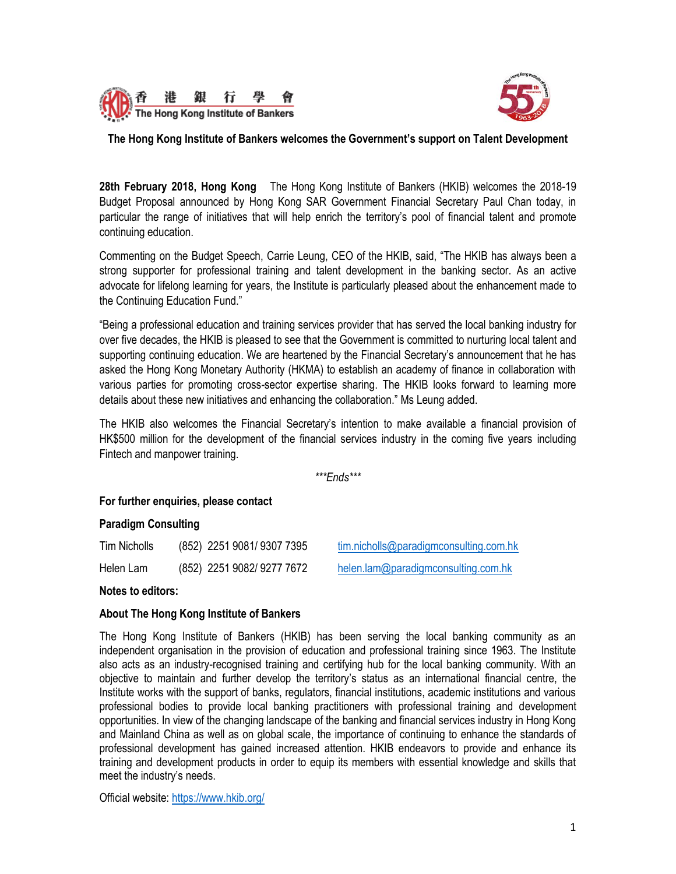



# **The Hong Kong Institute of Bankers welcomes the Government's support on Talent Development**

**28th February 2018, Hong Kong** The Hong Kong Institute of Bankers (HKIB) welcomes the 2018-19 Budget Proposal announced by Hong Kong SAR Government Financial Secretary Paul Chan today, in particular the range of initiatives that will help enrich the territory's pool of financial talent and promote continuing education.

Commenting on the Budget Speech, Carrie Leung, CEO of the HKIB, said, "The HKIB has always been a strong supporter for professional training and talent development in the banking sector. As an active advocate for lifelong learning for years, the Institute is particularly pleased about the enhancement made to the Continuing Education Fund."

"Being a professional education and training services provider that has served the local banking industry for over five decades, the HKIB is pleased to see that the Government is committed to nurturing local talent and supporting continuing education. We are heartened by the Financial Secretary's announcement that he has asked the Hong Kong Monetary Authority (HKMA) to establish an academy of finance in collaboration with various parties for promoting cross-sector expertise sharing. The HKIB looks forward to learning more details about these new initiatives and enhancing the collaboration." Ms Leung added.

The HKIB also welcomes the Financial Secretary's intention to make available a financial provision of HK\$500 million for the development of the financial services industry in the coming five years including Fintech and manpower training.

*\*\*\*Ends\*\*\**

### **For further enquiries, please contact**

# **Paradigm Consulting**

| Tim Nicholls | (852) 2251 9081/9307 7395  | tim.nicholls@paradigmconsulting.com.hk |
|--------------|----------------------------|----------------------------------------|
| Helen Lam    | (852) 2251 9082/ 9277 7672 | helen.lam@paradigmconsulting.com.hk    |

### **Notes to editors:**

### **About The Hong Kong Institute of Bankers**

The Hong Kong Institute of Bankers (HKIB) has been serving the local banking community as an independent organisation in the provision of education and professional training since 1963. The Institute also acts as an industry-recognised training and certifying hub for the local banking community. With an objective to maintain and further develop the territory's status as an international financial centre, the Institute works with the support of banks, regulators, financial institutions, academic institutions and various professional bodies to provide local banking practitioners with professional training and development opportunities. In view of the changing landscape of the banking and financial services industry in Hong Kong and Mainland China as well as on global scale, the importance of continuing to enhance the standards of professional development has gained increased attention. HKIB endeavors to provide and enhance its training and development products in order to equip its members with essential knowledge and skills that meet the industry's needs.

Official website[: https://www.hkib.org/](https://www.hkib.org/)